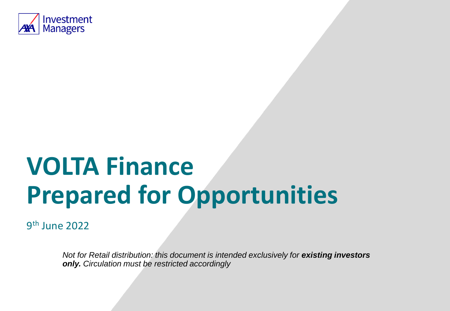

# **VOLTA Finance Prepared for Opportunities**

9 th June 2022

*Not for Retail distribution: this document is intended exclusively for existing investors only. Circulation must be restricted accordingly*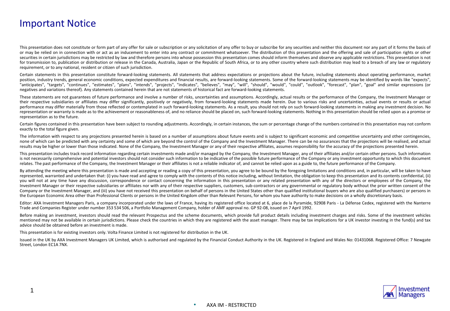## Important Notice

1

This presentation does not constitute or form part of any offer for sale or subscription or any solicitation of any offer to buy or subscribe for any securities and neither this document nor any part of it forms the basis or may be relied on in connection with or act as an inducement to enter into any contract or commitment whatsoever. The distribution of this presentation and the offering and sale of participation rights or other securities in certain jurisdictions may be restricted by law and therefore persons into whose possession this presentation comes should inform themselves and observe any applicable restrictions. This presentation is not for transmission to, publication or distribution or release in the Canada, Australia, Japan or the Republic of South Africa, or to any other country where such distribution may lead to a breach of any law or regulatory requirement, or to any national, resident or citizen of such jurisdiction.

Certain statements in this presentation constitute forward-looking statements. All statements that address expectations or projections about the future, including statements about operating performance, market position, industry trends, general economic conditions, expected expenditures and financial results, are forward-looking statements. Some of the forward-looking statements may be identified by words like "expects", "anticipates", "targets", "continues", "estimates", "plans", "intends", "projects", "indicates", "believes", "may", "will", "should", "would", "could", "could", "ottlook", "forecast", "plan", "goal" and similar expressions negatives and variations thereof). Any statements contained herein that are not statements of historical fact are forward-looking statements.

These statements are not guarantees of future performance and involve a number of risks, uncertainties and assumptions. Accordingly, actual results or the performance of the Company, the Investment Manager or their respective subsidiaries or affiliates may differ significantly, positively or negatively, from forward-looking statements made herein. Due to various risks and uncertainties, actual events or results or actual performance may differ materially from those reflected or contemplated in such forward-looking statements. As a result, you should not rely on such forward-looking statements in making any investment decision. No representation or warranty is made as to the achievement or reasonableness of, and no reliance should be placed on, such forward-looking statements. Nothing in this presentation should be relied upon as a promise or representation as to the future.

Certain figures contained in this presentation have been subject to rounding adjustments. Accordingly, in certain instances, the sum or percentage change of the numbers contained in this presentation may not conform exactly to the total figure given.

The information with respect to any projections presented herein is based on a number of assumptions about future events and is subject to significant economic and competitive uncertainty and other contingencies, none of which can be predicted with any certainty and some of which are beyond the control of the Company and the Investment Manager. There can be no assurances that the projections will be realised, and actual results may be higher or lower than those indicated. None of the Company, the Investment Manager or any of their respective affiliates, assumes responsibility for the accuracy of the projections presented herein.

This presentation includes track record information regarding certain investments made and/or managed by the Company, the Investment Manager, any of their affiliates and/or certain other persons. Such information is not necessarily comprehensive and potential investors should not consider such information to be indicative of the possible future performance of the Company or any investment opportunity to which this document relates. The past performance of the Company, the Investment Manager or their affiliates is not a reliable indicator of, and cannot be relied upon as a guide to, the future performance of the Company.

By attending the meeting where this presentation is made and accepting or reading a copy of this presentation, you agree to be bound by the foregoing limitations and conditions and, in particular, will be taken to have represented, warranted and undertaken that: (i) you have read and agree to comply with the contents of this notice including, without limitation, the obligation to keep this presentation and its contents confidential, (ii) you will not at any time have any discussion, correspondence or contact concerning the information in this presentation or any related presentation with any of the directors or employees of the Company, the Investment Manager or their respective subsidiaries or affiliates nor with any of their respective suppliers, customers, sub-contractors or any governmental or regulatory body without the prior written consent of the Company or the Investment Manager, and (iii) you have not received this presentation on behalf of persons in the United States other than qualified institutional buyers who are also qualified purchasers) or persons in the European Economic Area other than Professional Clients or persons in the United Kingdom other than Relevant Persons, for whom you have authority to make decisions on a wholly discretionary basis.

Editor: AXA Investment Managers Paris, a company incorporated under the laws of France, having its registered office located at 6, place de la Pyramide, 92908 Paris - La Défense Cedex, registered with the Nanterre Trade and Companies Register under number 353 534 506, a Portfolio Management Company, holder of AMF approval no. GP 92-08, issued on 7 April 1992.

Before making an investment, investors should read the relevant Prospectus and the scheme documents, which provide full product details including investment charges and risks. Some of the investment vehicles mentioned may not be available in certain jurisdictions. Please check the countries in which they are registered with the asset manager. There may be tax implications for a UK investor investing in the fund(s) and tax advice should be obtained before an investment is made.

This presentation is for existing investors only. Volta Finance Limited is not registered for distribution in the UK.

Issued in the UK by AXA Investment Managers UK Limited, which is authorised and regulated by the Financial Conduct Authority in the UK. Registered in England and Wales No: 01431068. Registered Office: 7 Newgate Street, London EC1A 7NX.

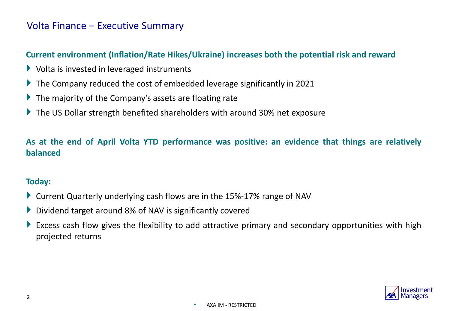# Volta Finance – Executive Summary

## **Current environment (Inflation/Rate Hikes/Ukraine) increases both the potential risk and reward**

- $\blacktriangleright$  Volta is invested in leveraged instruments
- ▶ The Company reduced the cost of embedded leverage significantly in 2021
- $\blacktriangleright$  The majority of the Company's assets are floating rate
- ▶ The US Dollar strength benefited shareholders with around 30% net exposure

**As at the end of April Volta YTD performance was positive: an evidence that things are relatively balanced**

#### **Today:**

- ▶ Current Quarterly underlying cash flows are in the 15%-17% range of NAV
- ▶ Dividend target around 8% of NAV is significantly covered
- Excess cash flow gives the flexibility to add attractive primary and secondary opportunities with high projected returns

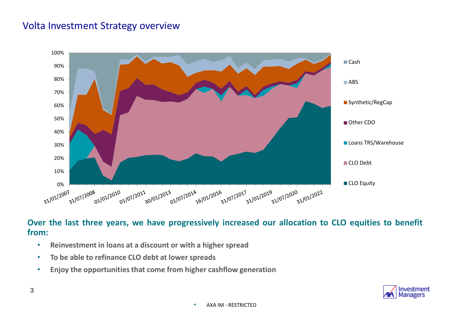# Volta Investment Strategy overview



**Over the last three years, we have progressively increased our allocation to CLO equities to benefit from:**

- **Reinvestment in loans at a discount or with a higher spread**
- **To be able to refinance CLO debt at lower spreads**
- **Enjoy the opportunitiesthat come from higher cashflow generation**

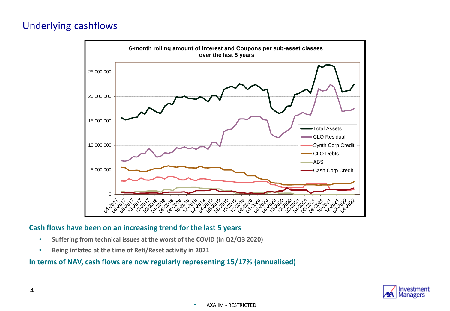# Underlying cashflows



#### **Cash flows have been on an increasing trend for the last 5 years**

- **Suffering from technical issues at the worst of the COVID (in Q2/Q3 2020)**
- **Being inflated at the time of Refi/Reset activity in 2021**

#### **In terms of NAV, cash flows are now regularly representing 15/17% (annualised)**

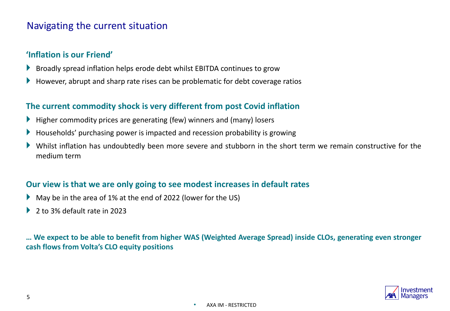## Navigating the current situation

## **'Inflation is our Friend'**

- Broadly spread inflation helps erode debt whilst EBITDA continues to grow
- However, abrupt and sharp rate rises can be problematic for debt coverage ratios

## **The current commodity shock is very different from post Covid inflation**

- $\blacktriangleright$  Higher commodity prices are generating (few) winners and (many) losers
- Households' purchasing power is impacted and recession probability is growing
- Whilst inflation has undoubtedly been more severe and stubborn in the short term we remain constructive for the medium term

#### **Our view is that we are only going to see modest increases in default rates**

- May be in the area of 1% at the end of 2022 (lower for the US)
- ▶ 2 to 3% default rate in 2023

... We expect to be able to benefit from higher WAS (Weighted Average Spread) inside CLOs, generating even stronger **cash flows from Volta's CLO equity positions**

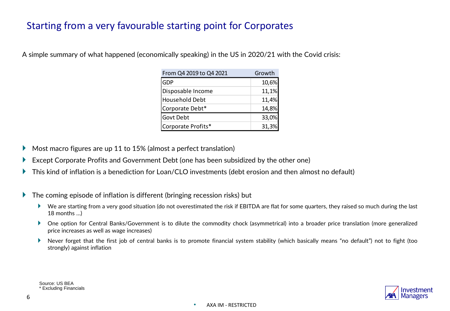# Starting from a very favourable starting point for Corporates

| From Q4 2019 to Q4 2021 | Growth |
|-------------------------|--------|
| GDP                     | 10,6%  |
| Disposable Income       | 11,1%  |
| Household Debt          | 11,4%  |
| Corporate Debt*         | 14,8%  |
| Govt Debt               | 33,0%  |
| Corporate Profits*      | 31,3%  |

A simple summary of what happened (economically speaking) in the US in 2020/21 with the Covid crisis:

- Most macro figures are up 11 to 15% (almost a perfect translation)
- Except Corporate Profits and Government Debt (one has been subsidized by the other one)
- This kind of inflation is a benediction for Loan/CLO investments (debt erosion and then almost no default)
- ▶ The coming episode of inflation is different (bringing recession risks) but
	- ▶ We are starting from a very good situation (do not overestimated the risk if EBITDA are flat for some quarters, they raised so much during the last 18 months …)
	- One option for Central Banks/Government is to dilute the commodity chock (asymmetrical) into a broader price translation (more generalized price increases as well as wage increases)
	- Never forget that the first job of central banks is to promote financial system stability (which basically means "no default") not to fight (too strongly) against inflation

Source: US BEA \* Excluding Financials

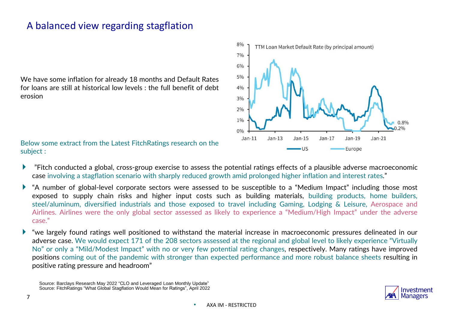# A balanced view regarding stagflation

We have some inflation for already 18 months and Default Rates for loans are still at historical low levels : the full benefit of debt erosion

Below some extract from the Latest FitchRatings research on the subject :

- "Fitch conducted a global, cross-group exercise to assess the potential ratings effects of a plausible adverse macroeconomic case involving a stagflation scenario with sharply reduced growth amid prolonged higher inflation and interest rates."
- "A number of global-level corporate sectors were assessed to be susceptible to a "Medium Impact" including those most exposed to supply chain risks and higher input costs such as building materials, building products, home builders, steel/aluminum, diversified industrials and those exposed to travel including Gaming, Lodging & Leisure, Aerospace and Airlines. Airlines were the only global sector assessed as likely to experience a "Medium/High Impact" under the adverse case."
- "we largely found ratings well positioned to withstand the material increase in macroeconomic pressures delineated in our adverse case. We would expect 171 of the 208 sectors assessed at the regional and global level to likely experience "Virtually No" or only a "Mild/Modest Impact" with no or very few potential rating changes, respectively. Many ratings have improved positions coming out of the pandemic with stronger than expected performance and more robust balance sheets resulting in positive rating pressure and headroom"

Source: Barclays Research May 2022 "CLO and Leveraged Loan Monthly Update" Source: FitchRatings "What Global Stagflation Would Mean for Ratings", April 2022



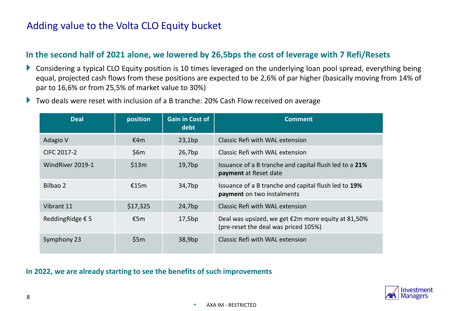# Adding value to the Volta CLO Equity bucket

## **In the second half of 2021 alone, we lowered by 26,5bps the cost of leverage with 7 Refi/Resets**

- ▶ Considering a typical CLO Equity position is 10 times leveraged on the underlying loan pool spread, everything being equal, projected cash flows from these positions are expected to be 2,6% of par higher (basically moving from 14% of par to 16,6% or from 25,5% of market value to 30%)
- ▶ Two deals were reset with inclusion of a B tranche: 20% Cash Flow received on average

| <b>Deal</b>      | position | <b>Gain in Cost of</b><br>debt | <b>Comment</b>                                                                             |
|------------------|----------|--------------------------------|--------------------------------------------------------------------------------------------|
| Adagio V         | €4m      | 23,1bp                         | Classic Refi with WAL extension                                                            |
| CIFC 2017-2      | \$6m     | 26,7bp                         | Classic Refi with WAL extension                                                            |
| WindRiver 2019-1 | \$13m    | 19,7bp                         | Issuance of a B tranche and capital flush led to a 21%<br>payment at Reset date            |
| Bilbao 2         | €15m     | 34,7bp                         | Issuance of a B tranche and capital flush led to 19%<br>payment on two instalments         |
| Vibrant 11       | \$17,325 | 24,7bp                         | Classic Refi with WAL extension                                                            |
| ReddingRidge € 5 | £5m      | 17,5bp                         | Deal was upsized, we get €2m more equity at 81,50%<br>(pre-reset the deal was priced 105%) |
| Symphony 23      | \$5m     | 38,9bp                         | Classic Refi with WAL extension                                                            |

#### **In 2022, we are already starting to see the benefits of such improvements**

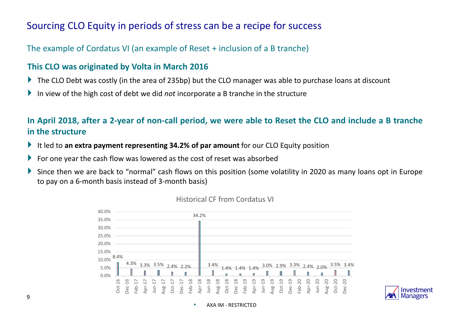# Sourcing CLO Equity in periods of stress can be a recipe for success

The example of Cordatus VI (an example of Reset + inclusion of a B tranche)

## **This CLO was originated by Volta in March 2016**

- The CLO Debt was costly (in the area of 235bp) but the CLO manager was able to purchase loans at discount
- In view of the high cost of debt we did *not* incorporate a B tranche in the structure

## In April 2018, after a 2-year of non-call period, we were able to Reset the CLO and include a B tranche **in the structure**

- It led to **an extra payment representing 34.2% of par amount** for our CLO Equity position
- For one year the cash flow was lowered as the cost of reset was absorbed
- Since then we are back to "normal" cash flows on this position (some volatility in 2020 as many loans opt in Europe to pay on a 6-month basis instead of 3-month basis)



#### Historical CF from Cordatus VI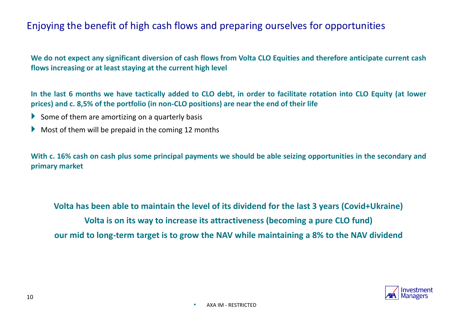# Enjoying the benefit of high cash flows and preparing ourselves for opportunities

We do not expect any significant diversion of cash flows from Volta CLO Equities and therefore anticipate current cash **flows increasing or at least staying at the current high level**

In the last 6 months we have tactically added to CLO debt, in order to facilitate rotation into CLO Equity (at lower **prices) and c. 8,5% of the portfolio (in non-CLO positions) are near the end of their life**

- $\blacktriangleright$  Some of them are amortizing on a quarterly basis
- $\blacktriangleright$  Most of them will be prepaid in the coming 12 months

With c. 16% cash on cash plus some principal payments we should be able seizing opportunities in the secondary and **primary market**

**Volta has been able to maintain the level of its dividend for the last 3 years (Covid+Ukraine) Volta is on its way to increase its attractiveness (becoming a pure CLO fund) our mid to long-term target is to grow the NAV while maintaining a 8% to the NAV dividend**

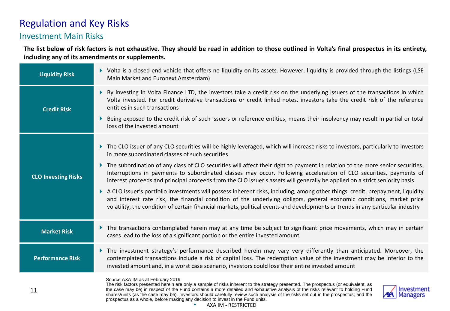# Regulation and Key Risks

### Investment Main Risks

The list below of risk factors is not exhaustive. They should be read in addition to those outlined in Volta's final prospectus in its entirety, **including any of its amendments or supplements.**

| <b>Liquidity Risk</b>      | > Volta is a closed-end vehicle that offers no liquidity on its assets. However, liquidity is provided through the listings (LSE<br>Main Market and Euronext Amsterdam)                                                                                                                                                                                                                                                                                                                                                                                     |
|----------------------------|-------------------------------------------------------------------------------------------------------------------------------------------------------------------------------------------------------------------------------------------------------------------------------------------------------------------------------------------------------------------------------------------------------------------------------------------------------------------------------------------------------------------------------------------------------------|
| <b>Credit Risk</b>         | By investing in Volta Finance LTD, the investors take a credit risk on the underlying issuers of the transactions in which<br>Þ.<br>Volta invested. For credit derivative transactions or credit linked notes, investors take the credit risk of the reference<br>entities in such transactions                                                                                                                                                                                                                                                             |
|                            | Being exposed to the credit risk of such issuers or reference entities, means their insolvency may result in partial or total<br>Þ.<br>loss of the invested amount                                                                                                                                                                                                                                                                                                                                                                                          |
|                            | The CLO issuer of any CLO securities will be highly leveraged, which will increase risks to investors, particularly to investors<br>in more subordinated classes of such securities                                                                                                                                                                                                                                                                                                                                                                         |
| <b>CLO Investing Risks</b> | The subordination of any class of CLO securities will affect their right to payment in relation to the more senior securities.<br>Þ.<br>Interruptions in payments to subordinated classes may occur. Following acceleration of CLO securities, payments of<br>interest proceeds and principal proceeds from the CLO issuer's assets will generally be applied on a strict seniority basis                                                                                                                                                                   |
|                            | A CLO issuer's portfolio investments will possess inherent risks, including, among other things, credit, prepayment, liquidity<br>and interest rate risk, the financial condition of the underlying obligors, general economic conditions, market price<br>volatility, the condition of certain financial markets, political events and developments or trends in any particular industry                                                                                                                                                                   |
| <b>Market Risk</b>         | The transactions contemplated herein may at any time be subject to significant price movements, which may in certain<br>cases lead to the loss of a significant portion or the entire invested amount                                                                                                                                                                                                                                                                                                                                                       |
| <b>Performance Risk</b>    | The investment strategy's performance described herein may vary very differently than anticipated. Moreover, the<br>contemplated transactions include a risk of capital loss. The redemption value of the investment may be inferior to the<br>invested amount and, in a worst case scenario, investors could lose their entire invested amount                                                                                                                                                                                                             |
| 11                         | Source AXA IM as at February 2019<br>The risk factors presented herein are only a sample of risks inherent to the strategy presented. The prospectus (or equivalent, as<br>the case may be) in respect of the Fund contains a more detailed and exhaustive analysis of the risks relevant to holding Fund<br>Investment<br>shares/units (as the case may be). Investors should carefully review such analysis of the risks set out in the prospectus, and the<br>Managers<br>prospectus as a whole, before making any decision to invest in the Fund units. |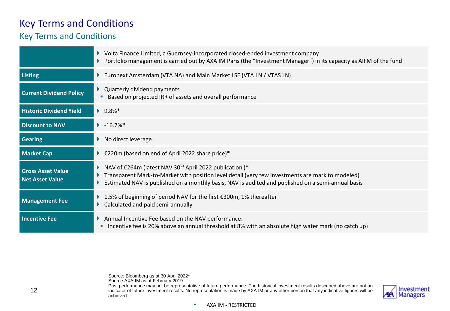## Key Terms and Conditions

## Key Terms and Conditions

|                                                    | Volta Finance Limited, a Guernsey-incorporated closed-ended investment company<br>Portfolio management is carried out by AXA IM Paris (the "Investment Manager") in its capacity as AIFM of the fund                                                                                   |
|----------------------------------------------------|----------------------------------------------------------------------------------------------------------------------------------------------------------------------------------------------------------------------------------------------------------------------------------------|
| <b>Listing</b>                                     | Euronext Amsterdam (VTA NA) and Main Market LSE (VTA LN / VTAS LN)                                                                                                                                                                                                                     |
| <b>Current Dividend Policy</b>                     | Quarterly dividend payments<br>Based on projected IRR of assets and overall performance<br>п                                                                                                                                                                                           |
| <b>Historic Dividend Yield</b>                     | $9.8\%$ *                                                                                                                                                                                                                                                                              |
| <b>Discount to NAV</b>                             | $\blacktriangleright$ -16.7%*                                                                                                                                                                                                                                                          |
| <b>Gearing</b>                                     | $\triangleright$ No direct leverage                                                                                                                                                                                                                                                    |
| <b>Market Cap</b>                                  | ▶ €220m (based on end of April 2022 share price)*                                                                                                                                                                                                                                      |
| <b>Gross Asset Value</b><br><b>Net Asset Value</b> | NAV of $\epsilon$ 264m (latest NAV 30 <sup>th</sup> April 2022 publication)*<br>Transparent Mark-to-Market with position level detail (very few investments are mark to modeled)<br>Estimated NAV is published on a monthly basis, NAV is audited and published on a semi-annual basis |
| <b>Management Fee</b>                              | 1.5% of beginning of period NAV for the first €300m, 1% thereafter<br>Calculated and paid semi-annually                                                                                                                                                                                |
| <b>Incentive Fee</b>                               | Annual Incentive Fee based on the NAV performance:<br>Incentive fee is 20% above an annual threshold at 8% with an absolute high water mark (no catch up)                                                                                                                              |